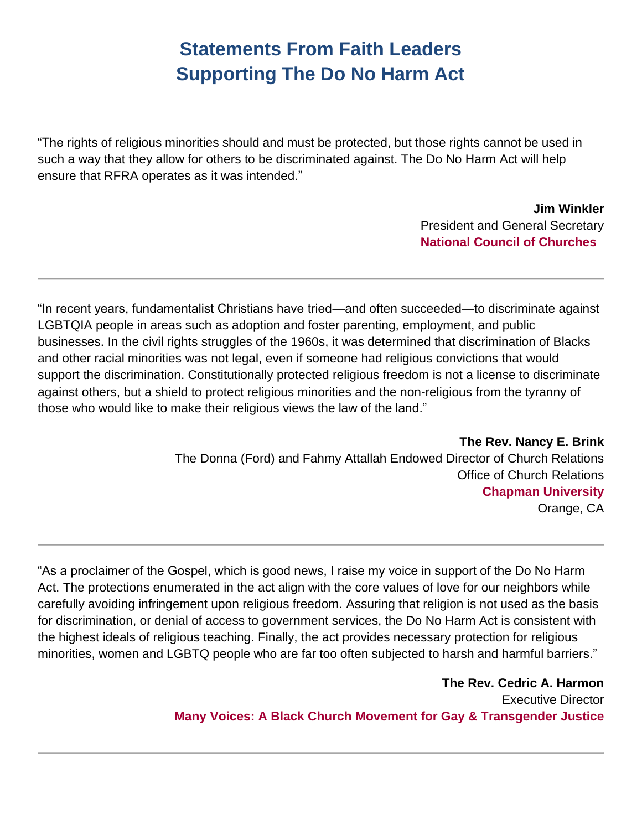## **Statements From Faith Leaders Supporting The Do No Harm Act**

"The rights of religious minorities should and must be protected, but those rights cannot be used in such a way that they allow for others to be discriminated against. The Do No Harm Act will help ensure that RFRA operates as it was intended."

> **Jim Winkler** President and General Secretary **National Council of Churches**

"In recent years, fundamentalist Christians have tried—and often succeeded—to discriminate against LGBTQIA people in areas such as adoption and foster parenting, employment, and public businesses. In the civil rights struggles of the 1960s, it was determined that discrimination of Blacks and other racial minorities was not legal, even if someone had religious convictions that would support the discrimination. Constitutionally protected religious freedom is not a license to discriminate against others, but a shield to protect religious minorities and the non-religious from the tyranny of those who would like to make their religious views the law of the land."

> **The Rev. Nancy E. Brink** The Donna (Ford) and Fahmy Attallah Endowed Director of Church Relations Office of Church Relations **Chapman University** Orange, CA

"As a proclaimer of the Gospel, which is good news, I raise my voice in support of the Do No Harm Act. The protections enumerated in the act align with the core values of love for our neighbors while carefully avoiding infringement upon religious freedom. Assuring that religion is not used as the basis for discrimination, or denial of access to government services, the Do No Harm Act is consistent with the highest ideals of religious teaching. Finally, the act provides necessary protection for religious minorities, women and LGBTQ people who are far too often subjected to harsh and harmful barriers."

> **The Rev. Cedric A. Harmon** Executive Director **Many Voices: A Black Church Movement for Gay & Transgender Justice**